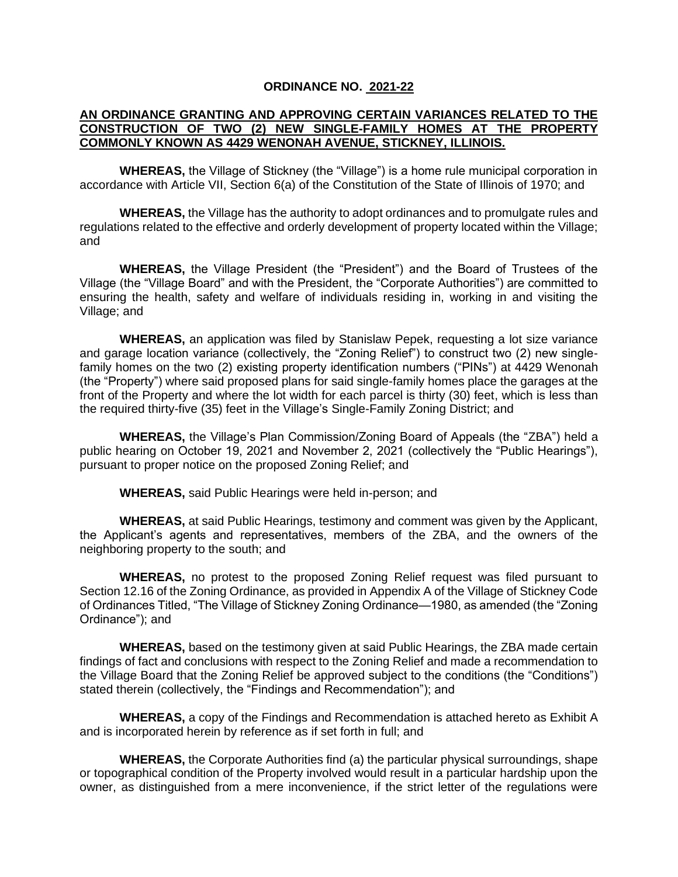## **ORDINANCE NO. 2021-22**

## **AN ORDINANCE GRANTING AND APPROVING CERTAIN VARIANCES RELATED TO THE CONSTRUCTION OF TWO (2) NEW SINGLE-FAMILY HOMES AT THE PROPERTY COMMONLY KNOWN AS 4429 WENONAH AVENUE, STICKNEY, ILLINOIS.**

**WHEREAS,** the Village of Stickney (the "Village") is a home rule municipal corporation in accordance with Article VII, Section 6(a) of the Constitution of the State of Illinois of 1970; and

**WHEREAS,** the Village has the authority to adopt ordinances and to promulgate rules and regulations related to the effective and orderly development of property located within the Village; and

**WHEREAS,** the Village President (the "President") and the Board of Trustees of the Village (the "Village Board" and with the President, the "Corporate Authorities") are committed to ensuring the health, safety and welfare of individuals residing in, working in and visiting the Village; and

**WHEREAS,** an application was filed by Stanislaw Pepek, requesting a lot size variance and garage location variance (collectively, the "Zoning Relief") to construct two (2) new singlefamily homes on the two (2) existing property identification numbers ("PINs") at 4429 Wenonah (the "Property") where said proposed plans for said single-family homes place the garages at the front of the Property and where the lot width for each parcel is thirty (30) feet, which is less than the required thirty-five (35) feet in the Village's Single-Family Zoning District; and

**WHEREAS,** the Village's Plan Commission/Zoning Board of Appeals (the "ZBA") held a public hearing on October 19, 2021 and November 2, 2021 (collectively the "Public Hearings"), pursuant to proper notice on the proposed Zoning Relief; and

**WHEREAS,** said Public Hearings were held in-person; and

**WHEREAS,** at said Public Hearings, testimony and comment was given by the Applicant, the Applicant's agents and representatives, members of the ZBA, and the owners of the neighboring property to the south; and

**WHEREAS,** no protest to the proposed Zoning Relief request was filed pursuant to Section 12.16 of the Zoning Ordinance, as provided in Appendix A of the Village of Stickney Code of Ordinances Titled, "The Village of Stickney Zoning Ordinance—1980, as amended (the "Zoning Ordinance"); and

**WHEREAS,** based on the testimony given at said Public Hearings, the ZBA made certain findings of fact and conclusions with respect to the Zoning Relief and made a recommendation to the Village Board that the Zoning Relief be approved subject to the conditions (the "Conditions") stated therein (collectively, the "Findings and Recommendation"); and

**WHEREAS,** a copy of the Findings and Recommendation is attached hereto as Exhibit A and is incorporated herein by reference as if set forth in full; and

**WHEREAS,** the Corporate Authorities find (a) the particular physical surroundings, shape or topographical condition of the Property involved would result in a particular hardship upon the owner, as distinguished from a mere inconvenience, if the strict letter of the regulations were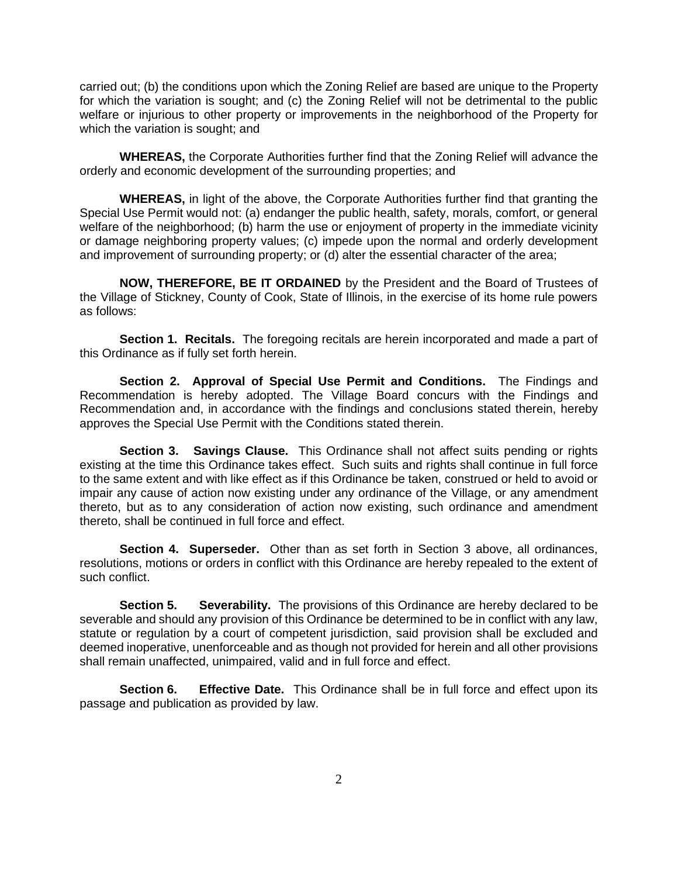carried out; (b) the conditions upon which the Zoning Relief are based are unique to the Property for which the variation is sought; and (c) the Zoning Relief will not be detrimental to the public welfare or injurious to other property or improvements in the neighborhood of the Property for which the variation is sought; and

**WHEREAS,** the Corporate Authorities further find that the Zoning Relief will advance the orderly and economic development of the surrounding properties; and

**WHEREAS,** in light of the above, the Corporate Authorities further find that granting the Special Use Permit would not: (a) endanger the public health, safety, morals, comfort, or general welfare of the neighborhood; (b) harm the use or enjoyment of property in the immediate vicinity or damage neighboring property values; (c) impede upon the normal and orderly development and improvement of surrounding property; or (d) alter the essential character of the area;

**NOW, THEREFORE, BE IT ORDAINED** by the President and the Board of Trustees of the Village of Stickney, County of Cook, State of Illinois, in the exercise of its home rule powers as follows:

**Section 1. Recitals.** The foregoing recitals are herein incorporated and made a part of this Ordinance as if fully set forth herein.

**Section 2. Approval of Special Use Permit and Conditions.** The Findings and Recommendation is hereby adopted. The Village Board concurs with the Findings and Recommendation and, in accordance with the findings and conclusions stated therein, hereby approves the Special Use Permit with the Conditions stated therein.

**Section 3. Savings Clause.** This Ordinance shall not affect suits pending or rights existing at the time this Ordinance takes effect. Such suits and rights shall continue in full force to the same extent and with like effect as if this Ordinance be taken, construed or held to avoid or impair any cause of action now existing under any ordinance of the Village, or any amendment thereto, but as to any consideration of action now existing, such ordinance and amendment thereto, shall be continued in full force and effect.

**Section 4. Superseder.** Other than as set forth in Section 3 above, all ordinances, resolutions, motions or orders in conflict with this Ordinance are hereby repealed to the extent of such conflict.

**Section 5. Severability.** The provisions of this Ordinance are hereby declared to be severable and should any provision of this Ordinance be determined to be in conflict with any law, statute or regulation by a court of competent jurisdiction, said provision shall be excluded and deemed inoperative, unenforceable and as though not provided for herein and all other provisions shall remain unaffected, unimpaired, valid and in full force and effect.

**Section 6. Effective Date.** This Ordinance shall be in full force and effect upon its passage and publication as provided by law.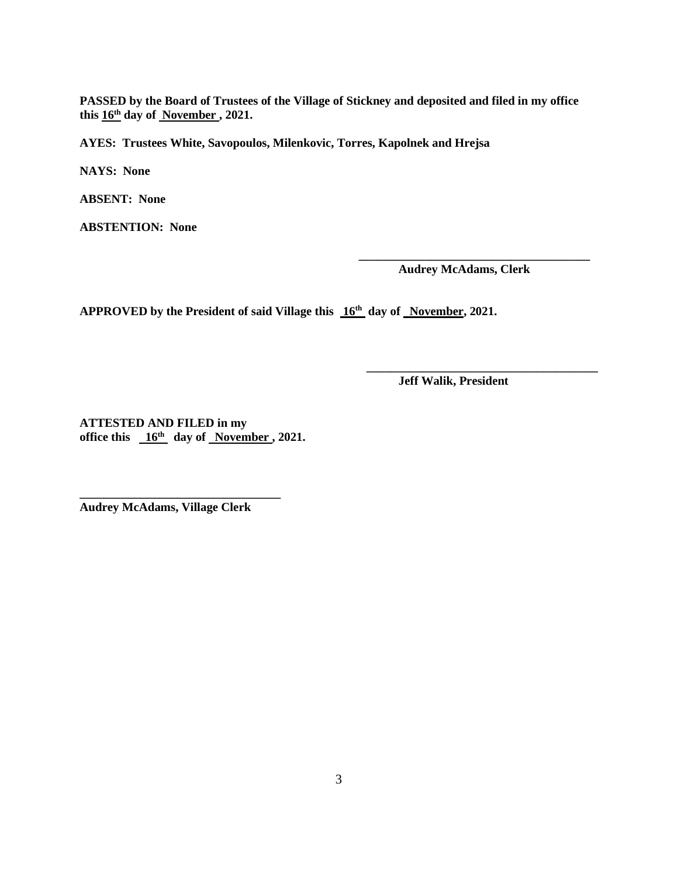**PASSED by the Board of Trustees of the Village of Stickney and deposited and filed in my office this 16th day of November , 2021.**

**AYES: Trustees White, Savopoulos, Milenkovic, Torres, Kapolnek and Hrejsa**

**NAYS: None**

**ABSENT: None**

**ABSTENTION: None**

**Audrey McAdams, Clerk**

**\_\_\_\_\_\_\_\_\_\_\_\_\_\_\_\_\_\_\_\_\_\_\_\_\_\_\_\_\_\_\_\_\_\_\_\_\_\_**

APPROVED by the President of said Village this  $16<sup>th</sup>$  day of November, 2021.

**Jeff Walik, President**

**\_\_\_\_\_\_\_\_\_\_\_\_\_\_\_\_\_\_\_\_\_\_\_\_\_\_\_\_\_\_\_\_\_\_\_\_\_\_**

**ATTESTED AND FILED in my office this 16th day of November , 2021.**

**Audrey McAdams, Village Clerk**

**\_\_\_\_\_\_\_\_\_\_\_\_\_\_\_\_\_\_\_\_\_\_\_\_\_\_\_\_\_\_\_\_\_**